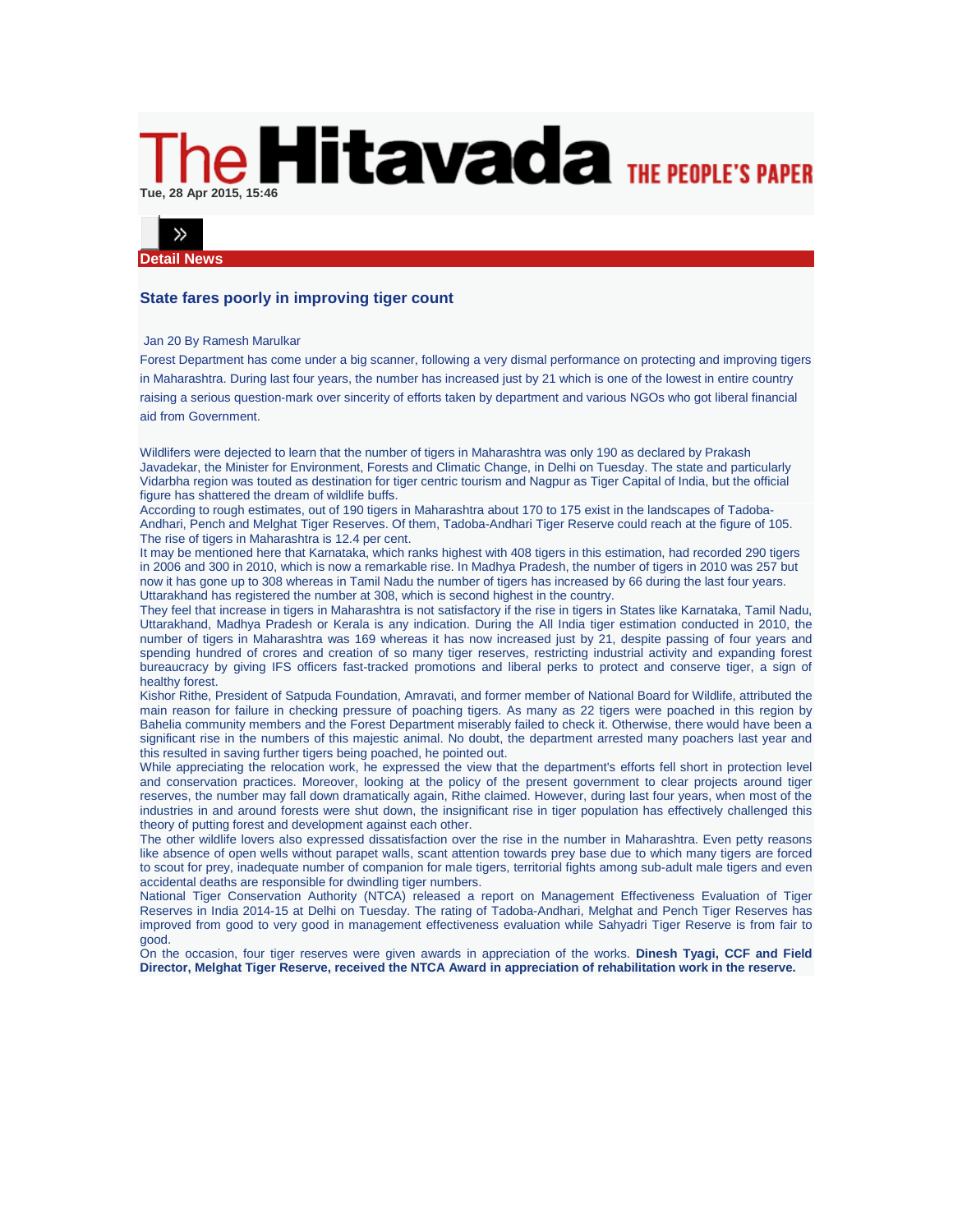## **IS Hitavada THE PEOPLE'S PAPER Tue, 28 Apr 2015, 15:46**



**Detail News**

## **State fares poorly in improving tiger count**

## Jan 20 By Ramesh Marulkar

Forest Department has come under a big scanner, following a very dismal performance on protecting and improving tigers in Maharashtra. During last four years, the number has increased just by 21 which is one of the lowest in entire country raising a serious question-mark over sincerity of efforts taken by department and various NGOs who got liberal financial aid from Government.

Wildlifers were dejected to learn that the number of tigers in Maharashtra was only 190 as declared by Prakash Javadekar, the Minister for Environment, Forests and Climatic Change, in Delhi on Tuesday. The state and particularly Vidarbha region was touted as destination for tiger centric tourism and Nagpur as Tiger Capital of India, but the official figure has shattered the dream of wildlife buffs.

According to rough estimates, out of 190 tigers in Maharashtra about 170 to 175 exist in the landscapes of Tadoba-Andhari, Pench and Melghat Tiger Reserves. Of them, Tadoba-Andhari Tiger Reserve could reach at the figure of 105. The rise of tigers in Maharashtra is 12.4 per cent.

It may be mentioned here that Karnataka, which ranks highest with 408 tigers in this estimation, had recorded 290 tigers in 2006 and 300 in 2010, which is now a remarkable rise. In Madhya Pradesh, the number of tigers in 2010 was 257 but now it has gone up to 308 whereas in Tamil Nadu the number of tigers has increased by 66 during the last four years. Uttarakhand has registered the number at 308, which is second highest in the country.

They feel that increase in tigers in Maharashtra is not satisfactory if the rise in tigers in States like Karnataka, Tamil Nadu, Uttarakhand, Madhya Pradesh or Kerala is any indication. During the All India tiger estimation conducted in 2010, the number of tigers in Maharashtra was 169 whereas it has now increased just by 21, despite passing of four years and spending hundred of crores and creation of so many tiger reserves, restricting industrial activity and expanding forest bureaucracy by giving IFS officers fast-tracked promotions and liberal perks to protect and conserve tiger, a sign of healthy forest.

Kishor Rithe, President of Satpuda Foundation, Amravati, and former member of National Board for Wildlife, attributed the main reason for failure in checking pressure of poaching tigers. As many as 22 tigers were poached in this region by Bahelia community members and the Forest Department miserably failed to check it. Otherwise, there would have been a significant rise in the numbers of this majestic animal. No doubt, the department arrested many poachers last year and this resulted in saving further tigers being poached, he pointed out.

While appreciating the relocation work, he expressed the view that the department's efforts fell short in protection level and conservation practices. Moreover, looking at the policy of the present government to clear projects around tiger reserves, the number may fall down dramatically again, Rithe claimed. However, during last four years, when most of the industries in and around forests were shut down, the insignificant rise in tiger population has effectively challenged this theory of putting forest and development against each other.

The other wildlife lovers also expressed dissatisfaction over the rise in the number in Maharashtra. Even petty reasons like absence of open wells without parapet walls, scant attention towards prey base due to which many tigers are forced to scout for prey, inadequate number of companion for male tigers, territorial fights among sub-adult male tigers and even accidental deaths are responsible for dwindling tiger numbers.

National Tiger Conservation Authority (NTCA) released a report on Management Effectiveness Evaluation of Tiger Reserves in India 2014-15 at Delhi on Tuesday. The rating of Tadoba-Andhari, Melghat and Pench Tiger Reserves has improved from good to very good in management effectiveness evaluation while Sahyadri Tiger Reserve is from fair to good.

On the occasion, four tiger reserves were given awards in appreciation of the works. **Dinesh Tyagi, CCF and Field Director, Melghat Tiger Reserve, received the NTCA Award in appreciation of rehabilitation work in the reserve.**